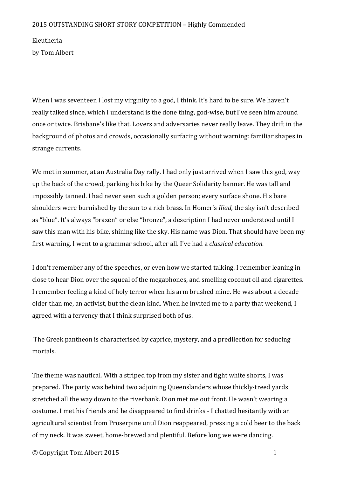## 2015 OUTSTANDING SHORT STORY COMPETITION - Highly Commended

Eleutheria by Tom Albert

When I was seventeen I lost my virginity to a god, I think. It's hard to be sure. We haven't really talked since, which I understand is the done thing, god-wise, but I've seen him around once or twice. Brisbane's like that. Lovers and adversaries never really leave. They drift in the background of photos and crowds, occasionally surfacing without warning: familiar shapes in strange currents.

We met in summer, at an Australia Day rally. I had only just arrived when I saw this god, way up the back of the crowd, parking his bike by the Queer Solidarity banner. He was tall and impossibly tanned. I had never seen such a golden person; every surface shone. His bare shoulders were burnished by the sun to a rich brass. In Homer's *Iliad*, the sky isn't described as "blue". It's always "brazen" or else "bronze", a description I had never understood until I saw this man with his bike, shining like the sky. His name was Dion. That should have been my first warning. I went to a grammar school, after all. I've had a *classical education.* 

I don't remember any of the speeches, or even how we started talking. I remember leaning in close to hear Dion over the squeal of the megaphones, and smelling coconut oil and cigarettes. I remember feeling a kind of holy terror when his arm brushed mine. He was about a decade older than me, an activist, but the clean kind. When he invited me to a party that weekend, I agreed with a fervency that I think surprised both of us.

The Greek pantheon is characterised by caprice, mystery, and a predilection for seducing mortals.

The theme was nautical. With a striped top from my sister and tight white shorts, I was prepared. The party was behind two adjoining Queenslanders whose thickly-treed vards stretched all the way down to the riverbank. Dion met me out front. He wasn't wearing a costume. I met his friends and he disappeared to find drinks - I chatted hesitantly with an agricultural scientist from Proserpine until Dion reappeared, pressing a cold beer to the back of my neck. It was sweet, home-brewed and plentiful. Before long we were dancing.

© Copyright Tom Albert 2015